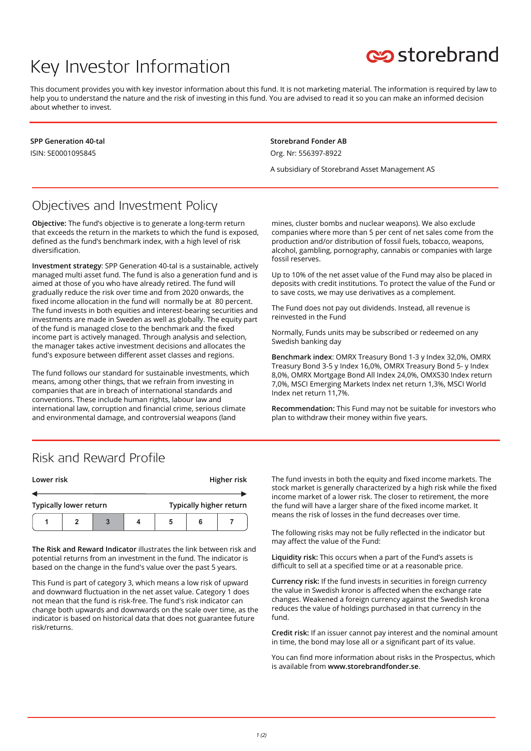# Key Investor Information



This document provides you with key investor information about this fund. It is not marketing material. The information is required by law to help you to understand the nature and the risk of investing in this fund. You are advised to read it so you can make an informed decision about whether to invest.

**SPP Generation 40-tal** ISIN: SE0001095845

**Storebrand Fonder AB** Org. Nr: 556397-8922

A subsidiary of Storebrand Asset Management AS

### Objectives and Investment Policy

**Objective:** The fund's objective is to generate a long-term return that exceeds the return in the markets to which the fund is exposed, defined as the fund's benchmark index, with a high level of risk diversification.

**Investment strategy**: SPP Generation 40-tal is a sustainable, actively managed multi asset fund. The fund is also a generation fund and is aimed at those of you who have already retired. The fund will gradually reduce the risk over time and from 2020 onwards, the fixed income allocation in the fund will normally be at 80 percent. The fund invests in both equities and interest-bearing securities and investments are made in Sweden as well as globally. The equity part of the fund is managed close to the benchmark and the fixed income part is actively managed. Through analysis and selection, the manager takes active investment decisions and allocates the fund's exposure between different asset classes and regions.

The fund follows our standard for sustainable investments, which means, among other things, that we refrain from investing in companies that are in breach of international standards and conventions. These include human rights, labour law and international law, corruption and financial crime, serious climate and environmental damage, and controversial weapons (land

mines, cluster bombs and nuclear weapons). We also exclude companies where more than 5 per cent of net sales come from the production and/or distribution of fossil fuels, tobacco, weapons, alcohol, gambling, pornography, cannabis or companies with large fossil reserves.

Up to 10% of the net asset value of the Fund may also be placed in deposits with credit institutions. To protect the value of the Fund or to save costs, we may use derivatives as a complement.

The Fund does not pay out dividends. Instead, all revenue is reinvested in the Fund

Normally, Funds units may be subscribed or redeemed on any Swedish banking day

**Benchmark index**: OMRX Treasury Bond 1-3 y Index 32,0%, OMRX Treasury Bond 3-5 y Index 16,0%, OMRX Treasury Bond 5- y Index 8,0%, OMRX Mortgage Bond All Index 24,0%, OMXS30 Index return 7,0%, MSCI Emerging Markets Index net return 1,3%, MSCI World Index net return 11,7%.

**Recommendation:** This Fund may not be suitable for investors who plan to withdraw their money within five years.

#### Risk and Reward Profile

| Lower risk                    |  |  |   | Higher risk             |   |  |
|-------------------------------|--|--|---|-------------------------|---|--|
|                               |  |  |   |                         |   |  |
| <b>Typically lower return</b> |  |  |   | Typically higher return |   |  |
|                               |  |  | 4 | 5                       | 6 |  |

**The Risk and Reward Indicator** illustrates the link between risk and potential returns from an investment in the fund. The indicator is based on the change in the fund's value over the past 5 years.

This Fund is part of category 3, which means a low risk of upward and downward fluctuation in the net asset value. Category 1 does not mean that the fund is risk-free. The fund's risk indicator can change both upwards and downwards on the scale over time, as the indicator is based on historical data that does not guarantee future risk/returns.

The fund invests in both the equity and fixed income markets. The stock market is generally characterized by a high risk while the fixed income market of a lower risk. The closer to retirement, the more the fund will have a larger share of the fixed income market. It means the risk of losses in the fund decreases over time.

The following risks may not be fully reflected in the indicator but may affect the value of the Fund:

**Liquidity risk:** This occurs when a part of the Fund's assets is difficult to sell at a specified time or at a reasonable price.

**Currency risk:** If the fund invests in securities in foreign currency the value in Swedish kronor is affected when the exchange rate changes. Weakened a foreign currency against the Swedish krona reduces the value of holdings purchased in that currency in the fund.

**Credit risk:** If an issuer cannot pay interest and the nominal amount in time, the bond may lose all or a significant part of its value.

You can find more information about risks in the Prospectus, which is available from **www.storebrandfonder.se**.